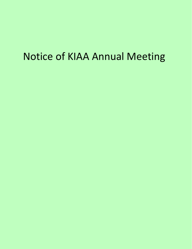# Notice of KIAA Annual Meeting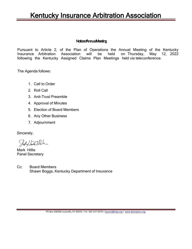### Noticeof Annual Meeting

Pursuant to Article 2, of the Plan of Operations the Annual Meeting of the Kentucky Insurance Arbitration Association will be held on Thursday, May 12, 2022 following the Kentucky Assigned Claims Plan Meetings held via teleconference.

The Agenda follows:

- 1. Call to Order
- 2. Roll Call
- 3. Anti-Trust Preamble
- 4. Approval of Minutes
- 5. Election of Board Members
- 6. Any Other Business
- 7. Adjournment

Sincerely,

Stephyllant Hele

Mark Hillis Panel Secretary

Cc: Board Members Shawn Boggs, Kentucky Department of Insurance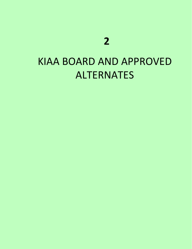# KIAA BOARD AND APPROVED ALTERNATES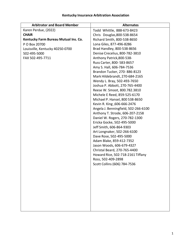| <b>Arbitrator and Board Member</b>   | <b>Alternates</b>                    |
|--------------------------------------|--------------------------------------|
| Karen Perdue, (2022)                 | Todd Whittle, 888-673-8423           |
| <b>CHAIR</b>                         | Chris Douglas, 800-538-8654          |
| Kentucky Farm Bureau Mutual Ins. Co. | Richard Smith, 800-538-8650          |
| P O Box 20700                        | Lona Giles, 877-496-8286             |
| Louisville, Kentucky 40250-0700      | Brad Handley, 800-538-8656           |
| 502-495-5000                         | Denise Crecelius, 800-782-3810       |
| FAX 502-495-7711                     | Anthony Patrick, 800-538-            |
|                                      | Russ Carter, 800-583-8657            |
|                                      | Amy S. Hall, 606-784-7536            |
|                                      | Brandon Tucker, 270-886-8123         |
|                                      | Mark Hildebrandt, 270-684-2165       |
|                                      | Wendy L. Bray, 502-493-7650          |
|                                      | Joshua P. Abbott, 270-765-4400       |
|                                      | Reese W. Smoot, 800.782.3810         |
|                                      | Michele E Reed, 859-525-6170         |
|                                      | Michael P. Hansel, 800 538-8650      |
|                                      | Kevin R. King, 606-666-2476          |
|                                      | Angela J. Benningfield, 502-266-6100 |
|                                      | Anthony T. Strode, 606-207-2158      |
|                                      | Daniel W. Rogers, 270-782-1300       |
|                                      | Ericka Gocke, 502-495-5000           |
|                                      | Jeff Smith, 606-864-9303             |
|                                      | Art Longnaker, 502-266-6100          |
|                                      | Dave Rose, 502-495-5000              |
|                                      | Adam Blake, 859-412-7352             |
|                                      | Jason Woods, 606-679-4327            |
|                                      | Christal Beard, 270-765-4400         |
|                                      | Howard Rice, 502-718-2161 Tiffany    |
|                                      | Ross, 502-409-2898                   |
|                                      | Scott Collins (606) 784-7536         |
|                                      |                                      |
|                                      |                                      |
|                                      |                                      |
|                                      |                                      |
|                                      |                                      |
|                                      |                                      |
|                                      |                                      |
|                                      |                                      |
|                                      |                                      |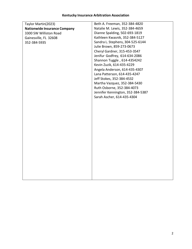| Taylor Martin(2023)                 | Beth A. Freeman, 352-384-4820     |
|-------------------------------------|-----------------------------------|
| <b>Nationwide Insurance Company</b> | Natalie M. Lewis, 352-384-4659    |
| 3300 SW Williston Road              | Dianne Spalding, 502-693-1819     |
| Gainesville, FL 32608               | Kathleen Kwasnik, 352-384-5127    |
| 352-384-5935                        | Sandra L. Stephens, 304-525-6144  |
|                                     | Julie Brown, 859-273-0673         |
|                                     | Cheryl Gardner, 315-453-3547      |
|                                     | Jenifur Godfrey, 614-634-2086     |
|                                     | Shannon Tuggle, 614-4354242       |
|                                     | Kevin Zuzik, 614-435-4229         |
|                                     | Angela Anderson, 614-435-4307     |
|                                     | Lana Patterson, 614-435-4247      |
|                                     | Jeff Stokes, 352-384-4532         |
|                                     | Martha Vazquez, 352-384-5430      |
|                                     | Ruth Osborne, 352-384-4073        |
|                                     | Jennifer Kennington, 352-384-5387 |
|                                     | Sarah Ascher, 614-435-4304        |
|                                     |                                   |
|                                     |                                   |
|                                     |                                   |
|                                     |                                   |
|                                     |                                   |
|                                     |                                   |
|                                     |                                   |
|                                     |                                   |
|                                     |                                   |
|                                     |                                   |
|                                     |                                   |
|                                     |                                   |
|                                     |                                   |
|                                     |                                   |
|                                     |                                   |
|                                     |                                   |
|                                     |                                   |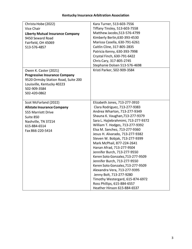| Christa Hobe (2022)                     | Kara Turner, 513-603-7556                                         |
|-----------------------------------------|-------------------------------------------------------------------|
| Vice Chair                              | Tiffany Tinsley, 513-603-7558                                     |
| <b>Liberty Mutual Insurance Company</b> | Matthew Jacobs, 513-576-4799                                      |
| 9450 Seward Road                        | Kimberly Berlin, 630-393-4530                                     |
| Fairfield, OH 45069                     | Marissa Casella, 630-791-6261                                     |
| 513-576-4857                            | Caitlin Cline, 317-805-2835                                       |
|                                         | Patricia Kenny, 630-393-7998                                      |
|                                         | Crystal Finch, 630-791-6422                                       |
|                                         | Chris Cary, 317-805-2745                                          |
|                                         | Stephanie Dolsen 513-576-4698                                     |
| Owen K. Caster (2021)                   | Kristi Parker, 502-909-3584                                       |
| <b>Progressive Insurance Company</b>    |                                                                   |
| 9520 Ormsby Station Road, Suite 200     |                                                                   |
| Louisville, Kentucky 40223              |                                                                   |
| 502-909-3584                            |                                                                   |
| 502-420-0862                            |                                                                   |
|                                         |                                                                   |
| Scot McFarland (2022)                   | Elizabeth Jones, 713-277-3910                                     |
| <b>Allstate Insurance Company</b>       | Clara Rodriguez, 713-277-9383                                     |
| 555 Marriott Drive                      | Andrea Wharton, 713-277-9349                                      |
| Suite 850                               | Shauna K. Vaughan, 713-277-9379                                   |
| Nashville, TN 37214                     | Sara L. Hajiebrahmimi, 713-277-9372                               |
| 615-884-6514                            | William T. Hodges, 713-277-9392                                   |
| Fax 866-220-5414                        | Elsa M. Sanchez, 713-277-9360                                     |
|                                         | Jesus H. Alvarado, 713-277-9382<br>Steven W. Bobjak, 713-277-9399 |
|                                         | Mark McPhail, 877-224-2641                                        |
|                                         | Hanan Afrad, 713-277-9504                                         |
|                                         | Jennifer Burch, 713-277-9550                                      |
|                                         | Keren Soto Gonzalez, 713-277-9509                                 |
|                                         | Jennifer Burch, 713-277-9550                                      |
|                                         | Keren Soto Gonzalez, 713-277-9509                                 |
|                                         | Alexandra Vera, 713-277-9395                                      |
|                                         | Jenny Bolt, 713-277-9280                                          |
|                                         | Timothy Westergard, 615-874-6972                                  |
|                                         | Ross Phillips, 615-884-6557                                       |
|                                         | Heather Hinson 615-884-6537                                       |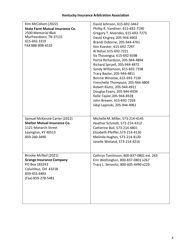| Kim McCollom (2022)                    | David Johnson, 615-692-3462              |
|----------------------------------------|------------------------------------------|
| <b>State Farm Mutual Insurance Co.</b> | Phillip R. Vandiver, 615-692-7190        |
| 2500 Memorial Blvd.                    | Gregory T. Alverides, 615-692-7273       |
| Murfreesboro, TN 37131                 | David Kingrey, 205-944-4902              |
| 615-692-3319                           | Brandi Osborne, 205-944-4761             |
| FAX 888-898-6532                       | Ken Kuester, 615-692-7297                |
|                                        | Al Rahal, 615-692-7221                   |
|                                        | Sis Thavongsa, 615-692-6598              |
|                                        | Portia Richardson, 205-944-4894          |
|                                        | Richard Spruell, 205-944-4972            |
|                                        | Sandy Williamson, 615-692-7198           |
|                                        | Tracy Baylor, 205-944-4811               |
|                                        | Bonnie Winslow, 615-692-7130             |
|                                        | Frenchelle Thompson, 205-944-4804        |
|                                        | Robert Kluttz, 205-944-4911              |
|                                        | Douglas Evans, 205-944-4934              |
|                                        | Kelle Taylor, 205-944-4928               |
|                                        | John Brewer, 615-692-7269                |
|                                        | Sibyl Lapinski, 205-944-4961             |
|                                        |                                          |
|                                        |                                          |
| Samuel McKenzie Carter (2022)          | Michelle M. Miller, 573-214-4145         |
| <b>Shelter Mutual Insurance Co.</b>    | Heather Schmidt, 572-214-4312            |
| 1121 Monarch Street                    | Catherine Bail, 573-214-4801             |
| Lexington, KY 40513                    | Elizabeth Pfeiffer, 573-214-4130         |
| 859-260-3490                           | Melinda Hughes, 573-214-4120             |
|                                        | Janelle Wieland, 573-214-4216            |
|                                        |                                          |
|                                        |                                          |
| Brooke McNeil (2021)                   | Cathryn Tomlinson, 800-837-0801 ext. 263 |
| <b>Grange Insurance Company</b>        | Erin Wethington, 800-837-0801 x267       |
| PO Box 183243                          | Tracy L. Senovitz, 800-605-4490 x229     |
| Columbus, OH 43218                     |                                          |
| 859-455-6483                           |                                          |
| (Fax) 859-278-5481                     |                                          |
|                                        |                                          |
|                                        |                                          |
|                                        |                                          |
|                                        |                                          |
|                                        |                                          |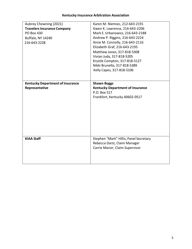| Aubrey Chewning (2021)                  | Karen M. Niemiec, 212-643-2191          |
|-----------------------------------------|-----------------------------------------|
| <b>Travelers Insurance Company</b>      | Gwen K. Lawrence, 216-643-2206          |
| <b>PO Box 430</b>                       | Mark E. Urbanowicz, 216-643-2188        |
| <b>Buffalo, NY 14240</b>                | Andrew P. Riggins, 216-643-2224         |
| 216-643-2228                            | Anne M. Connolly, 216-643-2116          |
|                                         | Elizabeth Graf, 216-643-2195            |
|                                         | Matthew Jones, 317-818-5308             |
|                                         | Vivian Judy, 317-818-5205               |
|                                         | Krystle Compton, 317-818-5127           |
|                                         | Nikki Brunello, 317-818-5389            |
|                                         | Kelly Capes, 317-818-5106               |
|                                         |                                         |
| <b>Kentucky Department of Insurance</b> | <b>Shawn Boggs</b>                      |
| Representative                          | <b>Kentucky Department of Insurance</b> |
|                                         | P.O. Box 517                            |
|                                         |                                         |
|                                         |                                         |
|                                         | Frankfort, Kentucky 40602-0517          |
|                                         |                                         |
|                                         |                                         |
|                                         |                                         |
|                                         |                                         |
|                                         |                                         |
|                                         |                                         |
|                                         |                                         |
| <b>KIAA Staff</b>                       | Stephen "Mark" Hillis, Panel Secretary  |
|                                         | Rebecca Darst, Claim Manager            |
|                                         | Carrie Manor, Claim Supervisor          |
|                                         |                                         |
|                                         |                                         |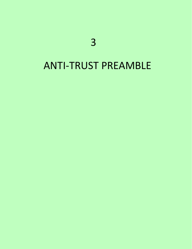# ANTI-TRUST PREAMBLE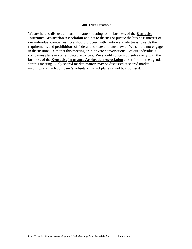#### Anti-Trust Preamble

We are here to discuss and act on matters relating to the business of the **Kentucky Insurance Arbitration Association** and not to discuss or pursue the business interest of our individual companies. We should proceed with caution and alertness towards the requirements and prohibitions of federal and state anti-trust laws. We should not engage in discussions – either at this meeting or in private conversations – of our individuals companies plans or contemplated activities. We should concern ourselves only with the business of the **Kentucky Insurance Arbitration Association** as set forth in the agenda for this meeting. Only shared market matters may be discussed at shared market meetings and each company's voluntary market plans cannot be discussed.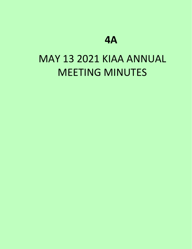# **4A**

# MAY 13 2021 KIAA ANNUAL MEETING MINUTES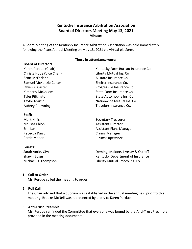### **Kentucky Insurance Arbitration Association Board of Directors Meeting May 13, 2021 Minutes**

A Board Meeting of the Kentucky Insurance Arbitration Association was held immediately following the Plans Annual Meeting on May 13, 2021 via virtual platform.

#### **Those in attendance were:**

#### **Board of Directors:**

Karen Perdue (Chair) Christa Hobe (Vice Chair) Scott McFarland Samuel McKenzie Carter Owen K. Caster Kimberly McCollom Tyler Pilkington Taylor Martin Aubrey Chewning

Kentucky Farm Bureau Insurance Co. Liberty Mutual Ins. Co Allstate Insurance Co. Shelter Insurance Co. Progressive Insurance Co. State Farm Insurance Co. State Automobile Ins. Co. Nationwide Mutual Ins. Co. Travelers Insurance Co.

Secretary Treasurer Assistant Director Assistant Plans Manager Claims Manager Claims Supervisor

**Guests**: Sarah Antle, CPA

Rebecca Darst Carrie Manor

**Staff:** Mark Hillis Melissa Chlon

Erin Lux

Shawn Boggs Michael D. Thompson

Deming, Malone, Livesay & Ostroff Kentucky Department of Insurance Liberty Mutual Safeco Ins. Co.

#### **1. Call to Order**

Ms. Perdue called the meeting to order.

#### **2. Roll Call**

The Chair advised that a quorum was established in the annual meeting held prior to this meeting. Brooke McNeil was represented by proxy to Karen Perdue.

#### **3. Anti-Trust Preamble**

Ms. Perdue reminded the Committee that everyone was bound by the Anti-Trust Preamble provided in the meeting documents.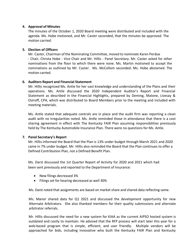#### **4. Approval of Minutes**

The minutes of the October 1, 2020 Board meeting were distributed and included with the agenda. Ms. Hobe motioned, and Mr. Caster seconded, that the minutes be approved. The motion carried.

#### **5. Election of Officers**

Mr. Caster, Chairman of the Nominating Committee, moved to nominate Karen Perdue - Chair, Christa Hobe - Vice Chair and Mr. Hillis - Panel Secretary. Mr. Caster asked for other nominations from the floor to which there were none. Ms. Martin motioned to accept the nominations as outlined by Mr. Caster. Ms. McCollom seconded. Ms. Hobe abstained. The motion carried.

#### **6. Auditors Report and Financial Statement**

Mr. Hillis recognized Ms. Antle for her vast knowledge and understanding of the Plans and their operations. Ms. Antle discussed the 2020 Independent Auditor's Report and Financial Statement as described in the Financial Highlights, prepared by Deming, Malone, Livesay & Ostroff, CPA, which was distributed to Board Members prior to the meeting and included with meeting materials.

Ms. Antle stated that adequate controls are in place and the audit firm was reporting a clean audit with no irregularities noted. Ms. Antle reminded those in attendance that there is a cost sharing agreement in effect with The Kentucky FAIR Plan assuming responsibilities previously held by The Kentucky Automobile Insurance Plan. There were no questions for Ms. Antle.

#### **7. Panel Secretary's Report**

Mr. Hillis informed the Board that the Plan is 13% under budget through March 2021 and 2020 came in 7% under budget. Mr. Hillis also reminded the Board that the Plan continues to offer a Defined Contribution Plan, not a Defined Benefit Plan.

Ms. Darst discussed the 1st Quarter Report of Activity for 2020 and 2021 which had been sent previously and reported to the Department of Insurance:

- New filings decreased 3%
- Filings set for hearing decreased as well 30%

Ms. Darst noted that assignments are based on market share and shared data reflecting same.

Ms. Manor shared data for Q1 2021 and discussed the development opportunity for new Alternate Arbitrators. She also thanked members for their quality submissions and alternate arbitrator referrals.

Mr. Hillis discussed the need for a new system for KIAA as the current AIPSO hosted system is outdated and costly to maintain. He advised that the RFP process will start later this year for a web-based program that is simple, efficient, and user friendly. Multiple vendors will be approached for bids, including Innovative who built the Kentucky FAIR Plan and Kentucky